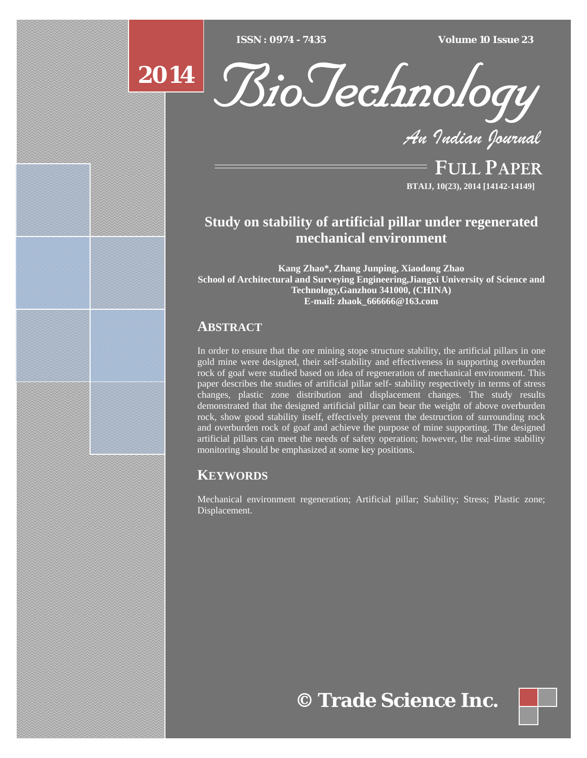$\overline{ISSN} : 0974 - 7435$ 

*ISSN : 0974 - 7435 Volume 10 Issue 23*





*An Indian Journal*

FULL PAPER **BTAIJ, 10(23), 2014 [14142-14149]**

# **Study on stability of artificial pillar under regenerated mechanical environment**

**Kang Zhao\*, Zhang Junping, Xiaodong Zhao School of Architectural and Surveying Engineering,Jiangxi University of Science and Technology,Ganzhou 341000, (CHINA) E-mail: zhaok\_666666@163.com** 

# **ABSTRACT**

In order to ensure that the ore mining stope structure stability, the artificial pillars in one gold mine were designed, their self-stability and effectiveness in supporting overburden rock of goaf were studied based on idea of regeneration of mechanical environment. This paper describes the studies of artificial pillar self- stability respectively in terms of stress changes, plastic zone distribution and displacement changes. The study results demonstrated that the designed artificial pillar can bear the weight of above overburden rock, show good stability itself, effectively prevent the destruction of surrounding rock and overburden rock of goaf and achieve the purpose of mine supporting. The designed artificial pillars can meet the needs of safety operation; however, the real-time stability monitoring should be emphasized at some key positions.

# **KEYWORDS**

Mechanical environment regeneration; Artificial pillar; Stability; Stress; Plastic zone; Displacement.

**© Trade Science Inc.**

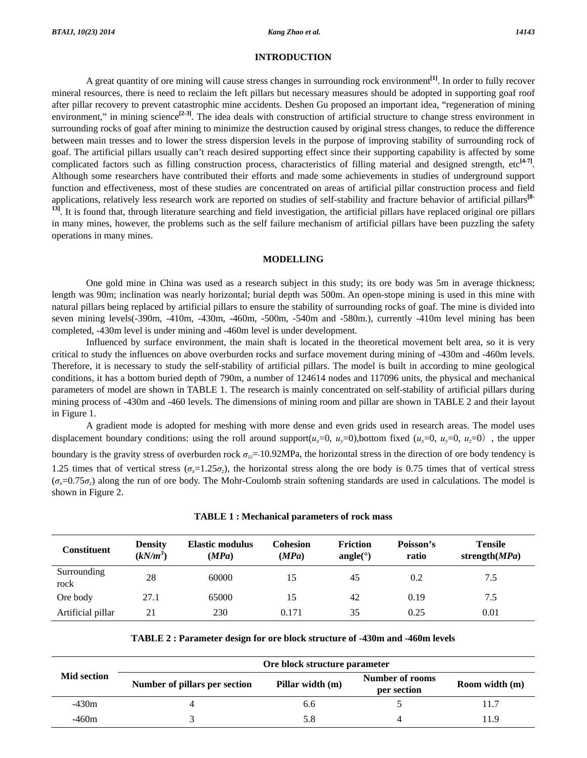# **INTRODUCTION**

 A great quantity of ore mining will cause stress changes in surrounding rock environment**[1]**. In order to fully recover mineral resources, there is need to reclaim the left pillars but necessary measures should be adopted in supporting goaf roof after pillar recovery to prevent catastrophic mine accidents. Deshen Gu proposed an important idea, "regeneration of mining environment," in mining science<sup>[2-3]</sup>. The idea deals with construction of artificial structure to change stress environment in surrounding rocks of goaf after mining to minimize the destruction caused by original stress changes, to reduce the difference between main tresses and to lower the stress dispersion levels in the purpose of improving stability of surrounding rock of goaf. The artificial pillars usually can't reach desired supporting effect since their supporting capability is affected by some complicated factors such as filling construction process, characteristics of filling material and designed strength, etc**[4-7]**. Although some researchers have contributed their efforts and made some achievements in studies of underground support function and effectiveness, most of these studies are concentrated on areas of artificial pillar construction process and field applications, relatively less research work are reported on studies of self-stability and fracture behavior of artificial pillars**[8-** <sup>13]</sup>. It is found that, through literature searching and field investigation, the artificial pillars have replaced original ore pillars in many mines, however, the problems such as the self failure mechanism of artificial pillars have been puzzling the safety operations in many mines.

# **MODELLING**

 One gold mine in China was used as a research subject in this study; its ore body was 5m in average thickness; length was 90m; inclination was nearly horizontal; burial depth was 500m. An open-stope mining is used in this mine with natural pillars being replaced by artificial pillars to ensure the stability of surrounding rocks of goaf. The mine is divided into seven mining levels(-390m, -410m, -430m, -460m, -500m, -540m and -580m.), currently -410m level mining has been completed, -430m level is under mining and -460m level is under development.

 Influenced by surface environment, the main shaft is located in the theoretical movement belt area, so it is very critical to study the influences on above overburden rocks and surface movement during mining of -430m and -460m levels. Therefore, it is necessary to study the self-stability of artificial pillars. The model is built in according to mine geological conditions, it has a bottom buried depth of 790m, a number of 124614 nodes and 117096 units, the physical and mechanical parameters of model are shown in TABLE 1. The research is mainly concentrated on self-stability of artificial pillars during mining process of -430m and -460 levels. The dimensions of mining room and pillar are shown in TABLE 2 and their layout in Figure 1.

 A gradient mode is adopted for meshing with more dense and even grids used in research areas. The model uses displacement boundary conditions: using the roll around support( $u_x=0$ ,  $u_y=0$ ), bottom fixed ( $u_x=0$ ,  $u_y=0$ ), the upper boundary is the gravity stress of overburden rock  $\sigma_z = 10.92 \text{MPa}$ , the horizontal stress in the direction of ore body tendency is 1.25 times that of vertical stress ( $\sigma_x=1.25\sigma_z$ ), the horizontal stress along the ore body is 0.75 times that of vertical stress  $(\sigma_x=0.75\sigma_z)$  along the run of ore body. The Mohr-Coulomb strain softening standards are used in calculations. The model is shown in Figure 2.

| <b>Constituent</b>  | <b>Density</b><br>$(kN/m^3)$ | <b>Elastic modulus</b><br>(MPa) | <b>Cohesion</b><br>(MPa) | <b>Friction</b><br>angle( $\degree$ ) | Poisson's<br>ratio | <b>Tensile</b><br>strength $(MPa)$ |
|---------------------|------------------------------|---------------------------------|--------------------------|---------------------------------------|--------------------|------------------------------------|
| Surrounding<br>rock | 28                           | 60000                           | 15                       | 45                                    | 0.2                | 7.5                                |
| Ore body            | 27.1                         | 65000                           | 15                       | 42                                    | 0.19               | 7.5                                |
| Artificial pillar   | 21                           | 230                             | 0.171                    | 35                                    | 0.25               | 0.01                               |

**TABLE 2 : Parameter design for ore block structure of -430m and -460m levels** 

| <b>Mid section</b> | Ore block structure parameter |                  |                                |                |  |  |  |
|--------------------|-------------------------------|------------------|--------------------------------|----------------|--|--|--|
|                    | Number of pillars per section | Pillar width (m) | Number of rooms<br>per section | Room width (m) |  |  |  |
| $-430m$            |                               | 6.6              |                                | 11.7           |  |  |  |
| -460m              |                               | 5.8              |                                | 11.9           |  |  |  |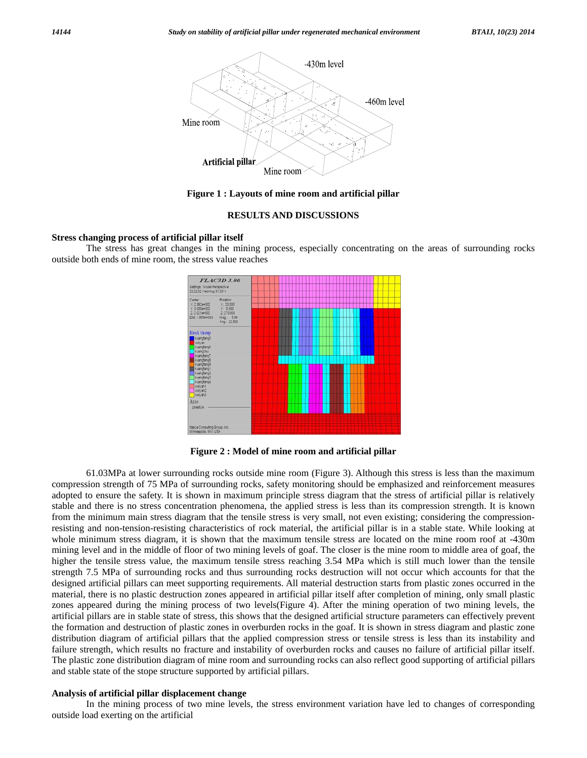

**Figure 1 : Layouts of mine room and artificial pillar** 

# **RESULTS AND DISCUSSIONS**

#### **Stress changing process of artificial pillar itself**

 The stress has great changes in the mining process, especially concentrating on the areas of surrounding rocks outside both ends of mine room, the stress value reaches



**Figure 2 : Model of mine room and artificial pillar** 

 61.03MPa at lower surrounding rocks outside mine room (Figure 3). Although this stress is less than the maximum compression strength of 75 MPa of surrounding rocks, safety monitoring should be emphasized and reinforcement measures adopted to ensure the safety. It is shown in maximum principle stress diagram that the stress of artificial pillar is relatively stable and there is no stress concentration phenomena, the applied stress is less than its compression strength. It is known from the minimum main stress diagram that the tensile stress is very small, not even existing; considering the compressionresisting and non-tension-resisting characteristics of rock material, the artificial pillar is in a stable state. While looking at whole minimum stress diagram, it is shown that the maximum tensile stress are located on the mine room roof at -430m mining level and in the middle of floor of two mining levels of goaf. The closer is the mine room to middle area of goaf, the higher the tensile stress value, the maximum tensile stress reaching 3.54 MPa which is still much lower than the tensile strength 7.5 MPa of surrounding rocks and thus surrounding rocks destruction will not occur which accounts for that the designed artificial pillars can meet supporting requirements. All material destruction starts from plastic zones occurred in the material, there is no plastic destruction zones appeared in artificial pillar itself after completion of mining, only small plastic zones appeared during the mining process of two levels(Figure 4). After the mining operation of two mining levels, the artificial pillars are in stable state of stress, this shows that the designed artificial structure parameters can effectively prevent the formation and destruction of plastic zones in overburden rocks in the goaf. It is shown in stress diagram and plastic zone distribution diagram of artificial pillars that the applied compression stress or tensile stress is less than its instability and failure strength, which results no fracture and instability of overburden rocks and causes no failure of artificial pillar itself. The plastic zone distribution diagram of mine room and surrounding rocks can also reflect good supporting of artificial pillars and stable state of the stope structure supported by artificial pillars.

# **Analysis of artificial pillar displacement change**

 In the mining process of two mine levels, the stress environment variation have led to changes of corresponding outside load exerting on the artificial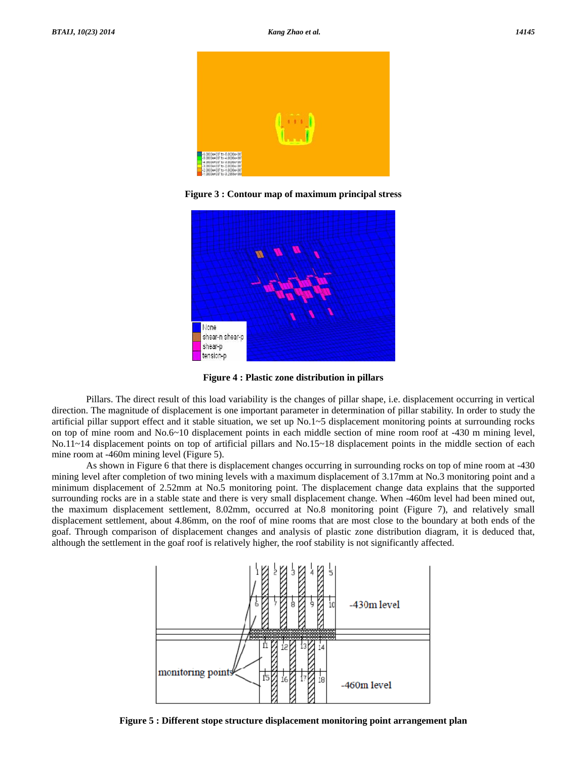

**Figure 3 : Contour map of maximum principal stress** 



**Figure 4 : Plastic zone distribution in pillars** 

 Pillars. The direct result of this load variability is the changes of pillar shape, i.e. displacement occurring in vertical direction. The magnitude of displacement is one important parameter in determination of pillar stability. In order to study the artificial pillar support effect and it stable situation, we set up No.1~5 displacement monitoring points at surrounding rocks on top of mine room and No.6~10 displacement points in each middle section of mine room roof at -430 m mining level, No.11~14 displacement points on top of artificial pillars and No.15~18 displacement points in the middle section of each mine room at -460m mining level (Figure 5).

 As shown in Figure 6 that there is displacement changes occurring in surrounding rocks on top of mine room at -430 mining level after completion of two mining levels with a maximum displacement of 3.17mm at No.3 monitoring point and a minimum displacement of 2.52mm at No.5 monitoring point. The displacement change data explains that the supported surrounding rocks are in a stable state and there is very small displacement change. When -460m level had been mined out, the maximum displacement settlement, 8.02mm, occurred at No.8 monitoring point (Figure 7), and relatively small displacement settlement, about 4.86mm, on the roof of mine rooms that are most close to the boundary at both ends of the goaf. Through comparison of displacement changes and analysis of plastic zone distribution diagram, it is deduced that, although the settlement in the goaf roof is relatively higher, the roof stability is not significantly affected.



**Figure 5 : Different stope structure displacement monitoring point arrangement plan**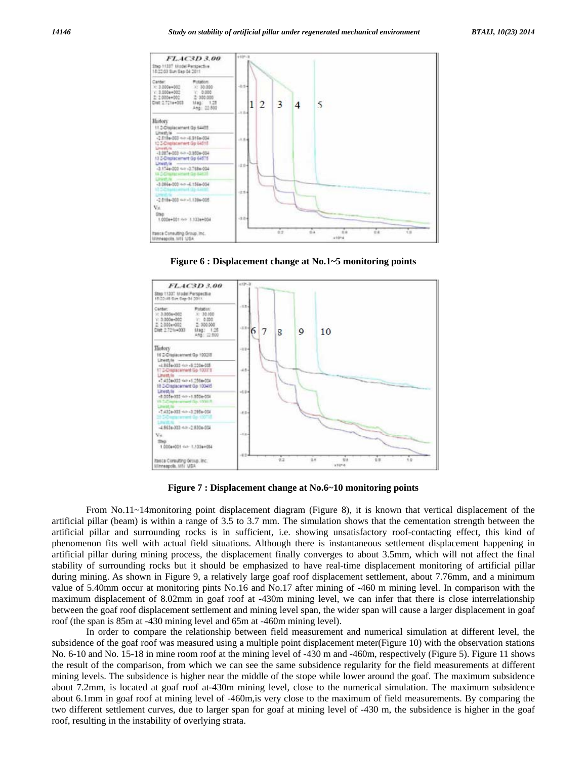

**Figure 6 : Displacement change at No.1~5 monitoring points** 



**Figure 7 : Displacement change at No.6~10 monitoring points** 

 From No.11~14monitoring point displacement diagram (Figure 8), it is known that vertical displacement of the artificial pillar (beam) is within a range of 3.5 to 3.7 mm. The simulation shows that the cementation strength between the artificial pillar and surrounding rocks is in sufficient, i.e. showing unsatisfactory roof-contacting effect, this kind of phenomenon fits well with actual field situations. Although there is instantaneous settlement displacement happening in artificial pillar during mining process, the displacement finally converges to about 3.5mm, which will not affect the final stability of surrounding rocks but it should be emphasized to have real-time displacement monitoring of artificial pillar during mining. As shown in Figure 9, a relatively large goaf roof displacement settlement, about 7.76mm, and a minimum value of 5.40mm occur at monitoring pints No.16 and No.17 after mining of -460 m mining level. In comparison with the maximum displacement of 8.02mm in goaf roof at -430m mining level, we can infer that there is close interrelationship between the goaf roof displacement settlement and mining level span, the wider span will cause a larger displacement in goaf roof (the span is 85m at -430 mining level and 65m at -460m mining level).

 In order to compare the relationship between field measurement and numerical simulation at different level, the subsidence of the goaf roof was measured using a multiple point displacement meter(Figure 10) with the observation stations No. 6-10 and No. 15-18 in mine room roof at the mining level of -430 m and -460m, respectively (Figure 5). Figure 11 shows the result of the comparison, from which we can see the same subsidence regularity for the field measurements at different mining levels. The subsidence is higher near the middle of the stope while lower around the goaf. The maximum subsidence about 7.2mm, is located at goaf roof at-430m mining level, close to the numerical simulation. The maximum subsidence about 6.1mm in goaf roof at mining level of -460m,is very close to the maximum of field measurements. By comparing the two different settlement curves, due to larger span for goaf at mining level of -430 m, the subsidence is higher in the goaf roof, resulting in the instability of overlying strata.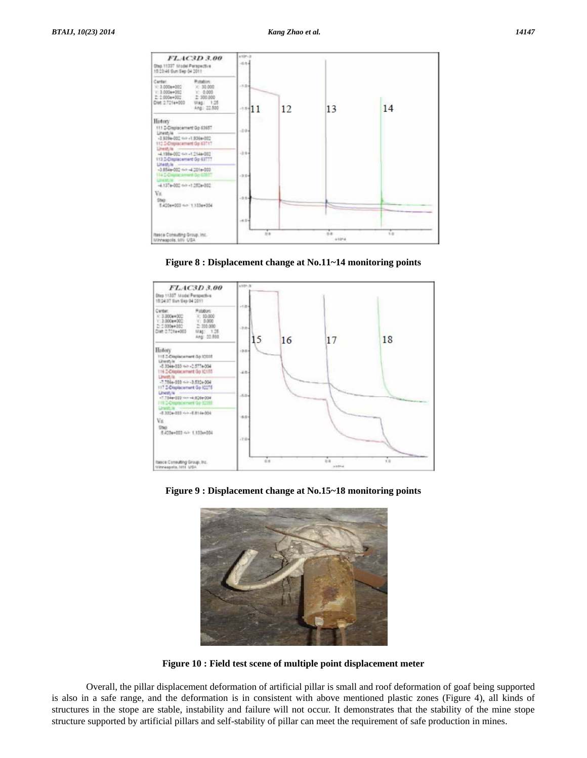

**Figure 8 : Displacement change at No.11~14 monitoring points** 



**Figure 9 : Displacement change at No.15~18 monitoring points** 



**Figure 10 : Field test scene of multiple point displacement meter** 

 Overall, the pillar displacement deformation of artificial pillar is small and roof deformation of goaf being supported is also in a safe range, and the deformation is in consistent with above mentioned plastic zones (Figure 4), all kinds of structures in the stope are stable, instability and failure will not occur. It demonstrates that the stability of the mine stope structure supported by artificial pillars and self-stability of pillar can meet the requirement of safe production in mines.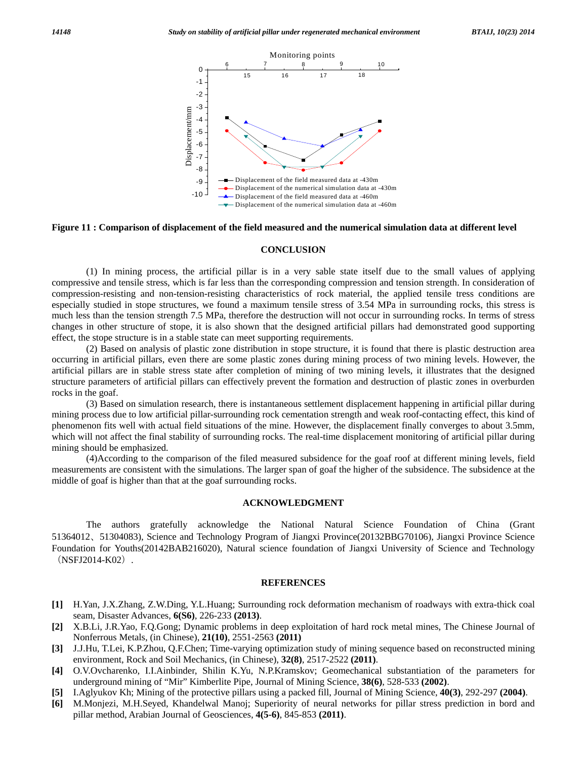

## **Figure 11 : Comparison of displacement of the field measured and the numerical simulation data at different level**

#### **CONCLUSION**

 (1) In mining process, the artificial pillar is in a very sable state itself due to the small values of applying compressive and tensile stress, which is far less than the corresponding compression and tension strength. In consideration of compression-resisting and non-tension-resisting characteristics of rock material, the applied tensile tress conditions are especially studied in stope structures, we found a maximum tensile stress of 3.54 MPa in surrounding rocks, this stress is much less than the tension strength 7.5 MPa, therefore the destruction will not occur in surrounding rocks. In terms of stress changes in other structure of stope, it is also shown that the designed artificial pillars had demonstrated good supporting effect, the stope structure is in a stable state can meet supporting requirements.

 (2) Based on analysis of plastic zone distribution in stope structure, it is found that there is plastic destruction area occurring in artificial pillars, even there are some plastic zones during mining process of two mining levels. However, the artificial pillars are in stable stress state after completion of mining of two mining levels, it illustrates that the designed structure parameters of artificial pillars can effectively prevent the formation and destruction of plastic zones in overburden rocks in the goaf.

 (3) Based on simulation research, there is instantaneous settlement displacement happening in artificial pillar during mining process due to low artificial pillar-surrounding rock cementation strength and weak roof-contacting effect, this kind of phenomenon fits well with actual field situations of the mine. However, the displacement finally converges to about 3.5mm, which will not affect the final stability of surrounding rocks. The real-time displacement monitoring of artificial pillar during mining should be emphasized.

 (4)According to the comparison of the filed measured subsidence for the goaf roof at different mining levels, field measurements are consistent with the simulations. The larger span of goaf the higher of the subsidence. The subsidence at the middle of goaf is higher than that at the goaf surrounding rocks.

#### **ACKNOWLEDGMENT**

 The authors gratefully acknowledge the National Natural Science Foundation of China (Grant 51364012、51304083), Science and Technology Program of Jiangxi Province(20132BBG70106), Jiangxi Province Science Foundation for Youths(20142BAB216020), Natural science foundation of Jiangxi University of Science and Technology (NSFJ2014-K02).

#### **REFERENCES**

- **[1]** H.Yan, J.X.Zhang, Z.W.Ding, Y.L.Huang; Surrounding rock deformation mechanism of roadways with extra-thick coal seam, Disaster Advances, **6(S6)**, 226-233 **(2013)**.
- **[2]** X.B.Li, J.R.Yao, F.Q.Gong; Dynamic problems in deep exploitation of hard rock metal mines, The Chinese Journal of Nonferrous Metals, (in Chinese), **21(10)**, 2551-2563 **(2011)**
- **[3]** J.J.Hu, T.Lei, K.P.Zhou, Q.F.Chen; Time-varying optimization study of mining sequence based on reconstructed mining environment, Rock and Soil Mechanics, (in Chinese), **32(8)**, 2517-2522 **(2011)**.
- **[4]** O.V.Ovcharenko, I.I.Ainbinder, Shilin K.Yu, N.P.Kramskov; Geomechanical substantiation of the parameters for underground mining of "Mir" Kimberlite Pipe, Journal of Mining Science, **38(6)**, 528-533 **(2002)**.
- **[5]** I.Aglyukov Kh; Mining of the protective pillars using a packed fill, Journal of Mining Science, **40(3)**, 292-297 **(2004)**.
- **[6]** M.Monjezi, M.H.Seyed, Khandelwal Manoj; Superiority of neural networks for pillar stress prediction in bord and pillar method, Arabian Journal of Geosciences, **4(5-6)**, 845-853 **(2011)**.